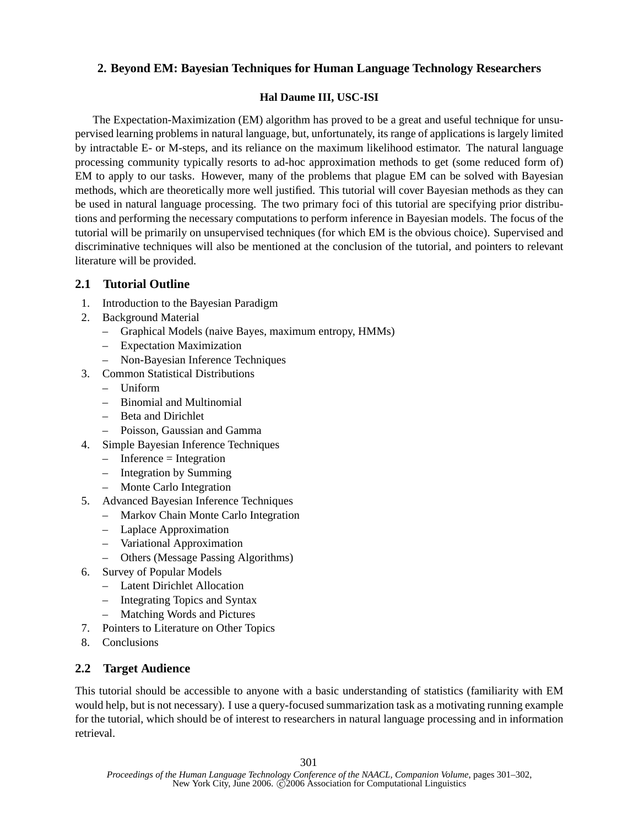## **2. Beyond EM: Bayesian Techniques for Human Language Technology Researchers**

## **Hal Daume III, USC-ISI**

The Expectation-Maximization (EM) algorithm has proved to be a great and useful technique for unsupervised learning problems in natural language, but, unfortunately, its range of applications is largely limited by intractable E- or M-steps, and its reliance on the maximum likelihood estimator. The natural language processing community typically resorts to ad-hoc approximation methods to get (some reduced form of) EM to apply to our tasks. However, many of the problems that plague EM can be solved with Bayesian methods, which are theoretically more well justified. This tutorial will cover Bayesian methods as they can be used in natural language processing. The two primary foci of this tutorial are specifying prior distributions and performing the necessary computations to perform inference in Bayesian models. The focus of the tutorial will be primarily on unsupervised techniques (for which EM is the obvious choice). Supervised and discriminative techniques will also be mentioned at the conclusion of the tutorial, and pointers to relevant literature will be provided.

## **2.1 Tutorial Outline**

- 1. Introduction to the Bayesian Paradigm
- 2. Background Material
	- Graphical Models (naive Bayes, maximum entropy, HMMs)
	- Expectation Maximization
	- Non-Bayesian Inference Techniques
- 3. Common Statistical Distributions
	- Uniform
	- Binomial and Multinomial
	- Beta and Dirichlet
	- Poisson, Gaussian and Gamma
- 4. Simple Bayesian Inference Techniques
	- $-$  Inference  $=$  Integration
	- Integration by Summing
	- Monte Carlo Integration
- 5. Advanced Bayesian Inference Techniques
	- Markov Chain Monte Carlo Integration
	- Laplace Approximation
	- Variational Approximation
	- Others (Message Passing Algorithms)
- 6. Survey of Popular Models
	- Latent Dirichlet Allocation
	- Integrating Topics and Syntax
	- Matching Words and Pictures
- 7. Pointers to Literature on Other Topics
- 8. Conclusions

## **2.2 Target Audience**

This tutorial should be accessible to anyone with a basic understanding of statistics (familiarity with EM would help, but is not necessary). I use a query-focused summarization task as a motivating running example for the tutorial, which should be of interest to researchers in natural language processing and in information retrieval.